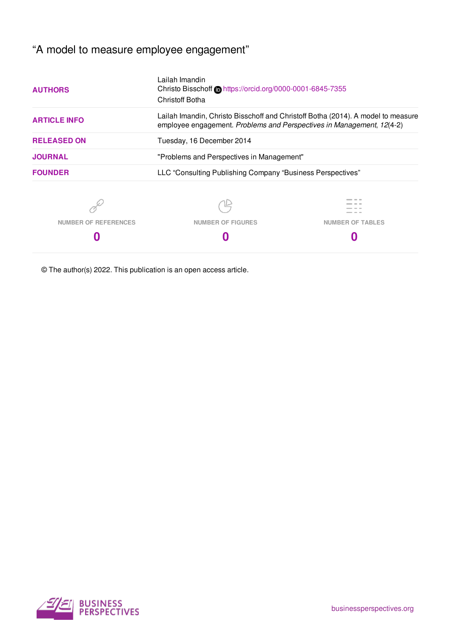# "A model to measure employee engagement"

| <b>AUTHORS</b>       | Lailah Imandin<br>Christoff Botha                                                                                                                         | Christo Bisschoff Chttps://orcid.org/0000-0001-6845-7355 |  |  |
|----------------------|-----------------------------------------------------------------------------------------------------------------------------------------------------------|----------------------------------------------------------|--|--|
| <b>ARTICLE INFO</b>  | Lailah Imandin, Christo Bisschoff and Christoff Botha (2014). A model to measure<br>employee engagement. Problems and Perspectives in Management, 12(4-2) |                                                          |  |  |
| <b>RELEASED ON</b>   | Tuesday, 16 December 2014                                                                                                                                 |                                                          |  |  |
| <b>JOURNAL</b>       | "Problems and Perspectives in Management"                                                                                                                 |                                                          |  |  |
| <b>FOUNDER</b>       | LLC "Consulting Publishing Company "Business Perspectives"                                                                                                |                                                          |  |  |
|                      |                                                                                                                                                           |                                                          |  |  |
| NUMBER OF REFERENCES | <b>NUMBER OF FIGURES</b>                                                                                                                                  | <b>NUMBER OF TABLES</b>                                  |  |  |
|                      |                                                                                                                                                           |                                                          |  |  |

© The author(s) 2022. This publication is an open access article.

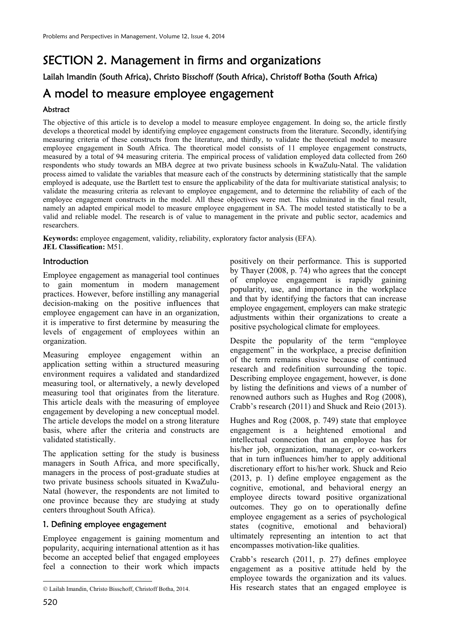# SECTION 2. Management in firms and organizations

Lailah Imandin (South Africa), Christo Bisschoff (South Africa), Christoff Botha (South Africa)

# A model to measure employee engagement

## Abstract

The objective of this article is to develop a model to measure employee engagement. In doing so, the article firstly develops a theoretical model by identifying employee engagement constructs from the literature. Secondly, identifying measuring criteria of these constructs from the literature, and thirdly, to validate the theoretical model to measure employee engagement in South Africa. The theoretical model consists of 11 employee engagement constructs, measured by a total of 94 measuring criteria. The empirical process of validation employed data collected from 260 respondents who study towards an MBA degree at two private business schools in KwaZulu-Natal. The validation process aimed to validate the variables that measure each of the constructs by determining statistically that the sample employed is adequate, use the Bartlett test to ensure the applicability of the data for multivariate statistical analysis; to validate the measuring criteria as relevant to employee engagement, and to determine the reliability of each of the employee engagement constructs in the model. All these objectives were met. This culminated in the final result, namely an adapted empirical model to measure employee engagement in SA. The model tested statistically to be a valid and reliable model. The research is of value to management in the private and public sector, academics and researchers.

**Keywords:** employee engagement, validity, reliability, exploratory factor analysis (EFA). **JEL Classification:** M51.

## **Introduction**

Employee engagement as managerial tool continues to gain momentum in modern management practices. However, before instilling any managerial decision-making on the positive influences that employee engagement can have in an organization, it is imperative to first determine by measuring the levels of engagement of employees within an organization.

Measuring employee engagement within an application setting within a structured measuring environment requires a validated and standardized measuring tool, or alternatively, a newly developed measuring tool that originates from the literature. This article deals with the measuring of employee engagement by developing a new conceptual model. The article develops the model on a strong literature basis, where after the criteria and constructs are validated statistically.

The application setting for the study is business managers in South Africa, and more specifically, managers in the process of post-graduate studies at two private business schools situated in KwaZulu-Natal (however, the respondents are not limited to one province because they are studying at study centers throughout South Africa).

### 1. Defining employee engagement

Employee engagement is gaining momentum and popularity, acquiring international attention as it has become an accepted belief that engaged employees feel a connection to their work which impacts positively on their performance. This is supported by Thayer (2008, p. 74) who agrees that the concept of employee engagement is rapidly gaining popularity, use, and importance in the workplace and that by identifying the factors that can increase employee engagement, employers can make strategic adjustments within their organizations to create a positive psychological climate for employees.

Despite the popularity of the term "employee engagement" in the workplace, a precise definition of the term remains elusive because of continued research and redefinition surrounding the topic. Describing employee engagement, however, is done by listing the definitions and views of a number of renowned authors such as Hughes and Rog (2008), Crabb's research (2011) and Shuck and Reio (2013).

Hughes and Rog (2008, p. 749) state that employee engagement is a heightened emotional and intellectual connection that an employee has for his/her job, organization, manager, or co-workers that in turn influences him/her to apply additional discretionary effort to his/her work. Shuck and Reio (2013, p. 1) define employee engagement as the cognitive, emotional, and behavioral energy an employee directs toward positive organizational outcomes. They go on to operationally define employee engagement as a series of psychological states (cognitive, emotional and behavioral) ultimately representing an intention to act that encompasses motivation-like qualities.

Crabb's research (2011, p. 27) defines employee engagement as a positive attitude held by the employee towards the organization and its values. His research states that an engaged employee is

 $\overline{a}$ 

Lailah Imandin, Christo Bisschoff, Christoff Botha, 2014.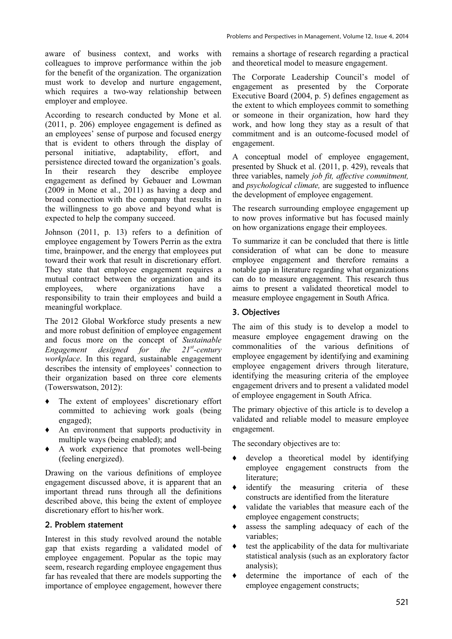aware of business context, and works with colleagues to improve performance within the job for the benefit of the organization. The organization must work to develop and nurture engagement, which requires a two-way relationship between employer and employee.

According to research conducted by Mone et al. (2011, p. 206) employee engagement is defined as an employees' sense of purpose and focused energy that is evident to others through the display of personal initiative, adaptability, effort, and persistence directed toward the organization's goals.<br>In their research they describe employee In their research they describe employee engagement as defined by Gebauer and Lowman (2009 in Mone et al., 2011) as having a deep and broad connection with the company that results in the willingness to go above and beyond what is expected to help the company succeed.

Johnson (2011, p. 13) refers to a definition of employee engagement by Towers Perrin as the extra time, brainpower, and the energy that employees put toward their work that result in discretionary effort. They state that employee engagement requires a mutual contract between the organization and its employees, where organizations have a responsibility to train their employees and build a meaningful workplace.

The 2012 Global Workforce study presents a new and more robust definition of employee engagement and focus more on the concept of *Sustainable Engagement designed for the 21st-century workplace*. In this regard, sustainable engagement describes the intensity of employees' connection to their organization based on three core elements (Towerswatson, 2012):

- Ƈ The extent of employees' discretionary effort committed to achieving work goals (being engaged);
- Ƈ An environment that supports productivity in multiple ways (being enabled); and
- Ƈ A work experience that promotes well-being (feeling energized).

Drawing on the various definitions of employee engagement discussed above, it is apparent that an important thread runs through all the definitions described above, this being the extent of employee discretionary effort to his/her work.

## 2. Problem statement

Interest in this study revolved around the notable gap that exists regarding a validated model of employee engagement. Popular as the topic may seem, research regarding employee engagement thus far has revealed that there are models supporting the importance of employee engagement, however there

remains a shortage of research regarding a practical and theoretical model to measure engagement.

The Corporate Leadership Council's model of engagement as presented by the Corporate Executive Board (2004, p. 5) defines engagement as the extent to which employees commit to something or someone in their organization, how hard they work, and how long they stay as a result of that commitment and is an outcome-focused model of engagement.

A conceptual model of employee engagement, presented by Shuck et al. (2011, p. 429), reveals that three variables, namely *job fit, affective commitment,*  and *psychological climate,* are suggested to influence the development of employee engagement.

The research surrounding employee engagement up to now proves informative but has focused mainly on how organizations engage their employees.

To summarize it can be concluded that there is little consideration of what can be done to measure employee engagement and therefore remains a notable gap in literature regarding what organizations can do to measure engagement. This research thus aims to present a validated theoretical model to measure employee engagement in South Africa.

# 3. Objectives

The aim of this study is to develop a model to measure employee engagement drawing on the commonalities of the various definitions of employee engagement by identifying and examining employee engagement drivers through literature, identifying the measuring criteria of the employee engagement drivers and to present a validated model of employee engagement in South Africa.

The primary objective of this article is to develop a validated and reliable model to measure employee engagement.

The secondary objectives are to:

- develop a theoretical model by identifying employee engagement constructs from the literature;
- identify the measuring criteria of these constructs are identified from the literature
- validate the variables that measure each of the employee engagement constructs;
- Ƈ assess the sampling adequacy of each of the variables;
- Ƈ test the applicability of the data for multivariate statistical analysis (such as an exploratory factor analysis);
- Ƈ determine the importance of each of the employee engagement constructs;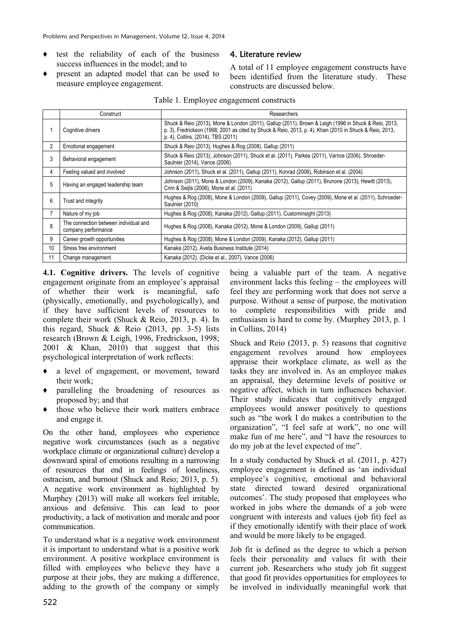- Ƈ test the reliability of each of the business success influences in the model; and to
- Ƈ present an adapted model that can be used to measure employee engagement.

## 4. Literature review

A total of 11 employee engagement constructs have been identified from the literature study. These constructs are discussed below.

|    | Construct                                                    | Researchers                                                                                                                                                                                                                                           |  |
|----|--------------------------------------------------------------|-------------------------------------------------------------------------------------------------------------------------------------------------------------------------------------------------------------------------------------------------------|--|
|    | Cognitive drivers                                            | Shuck & Reio (2013), Mone & London (2011), Gallup (2011), Brown & Leigh (1996 in Shuck & Reio, 2013,<br>p. 3), Fredrickson (1998; 2001 as cited by Shuck & Reio, 2013, p. 4), Khan (2010 in Shuck & Reio, 2013,<br>p. 4), Collins, (2014), TBS (2011) |  |
| 2  | Emotional engagement                                         | Shuck & Reio (2013), Hughes & Rog (2008), Gallup (2011)                                                                                                                                                                                               |  |
| 3  | Behavioral engagement                                        | Shuck & Reio (2013), Johnson (2011), Shuck et al. (2011), Parkes (2011), Varnce (2006), Shroeder-<br>Saulnier (2014), Vance (2006)                                                                                                                    |  |
| 4  | Feeling valued and involved                                  | Johnson (2011), Shuck et al. (2011), Gallup (2011), Konrad (2006), Robinson et al. (2004)                                                                                                                                                             |  |
| 5  | Having an engaged leadership team                            | Johnson (2011), Mone & London (2009), Kanaka (2012), Gallup (2011), Brunone (2013), Hewitt (2013),<br>Crim & Seijts (2006), Mone et al. (2011)                                                                                                        |  |
| 6  | Trust and integrity                                          | Hughes & Rog (2008), Mone & London (2009), Gallup (2011), Covey (2009), Mone et al. (2011), Schroeder-<br>Saulnier (2010)                                                                                                                             |  |
| 7  | Nature of my job                                             | Hughes & Rog (2008), Kanaka (2012), Gallup (2011), Custominsight (2013)                                                                                                                                                                               |  |
| 8  | The connection between individual and<br>company performance | Hughes & Rog (2008), Kanaka (2012), Mone & London (2009), Gallup (2011)                                                                                                                                                                               |  |
| 9  | Career growth opportunities                                  | Hughes & Rog (2008), Mone & London (2009), Kanaka (2012), Gallup (2011)                                                                                                                                                                               |  |
| 10 | Stress free environment                                      | Kanaka (2012), Aveta Business Institute (2014)                                                                                                                                                                                                        |  |
| 11 | Change management                                            | Kanaka (2012), (Dicke et al., 2007), Vance (2006)                                                                                                                                                                                                     |  |

#### Table 1. Employee engagement constructs

**4.1. Cognitive drivers.** The levels of cognitive engagement originate from an employee's appraisal of whether their work is meaningful, safe (physically, emotionally, and psychologically), and if they have sufficient levels of resources to complete their work (Shuck & Reio, 2013, p. 4). In this regard, Shuck & Reio (2013, pp. 3-5) lists research (Brown & Leigh, 1996, Fredrickson, 1998; 2001 & Khan, 2010) that suggest that this psychological interpretation of work reflects:

- Ƈ a level of engagement, or movement, toward their work;
- Ƈ paralleling the broadening of resources as proposed by; and that
- Ƈ those who believe their work matters embrace and engage it.

On the other hand, employees who experience negative work circumstances (such as a negative workplace climate or organizational culture) develop a downward spiral of emotions resulting in a narrowing of resources that end in feelings of loneliness, ostracism, and burnout (Shuck and Reio; 2013, p. 5). A negative work environment as highlighted by Murphey (2013) will make all workers feel irritable, anxious and defensive. This can lead to poor productivity, a lack of motivation and morale and poor communication.

To understand what is a negative work environment it is important to understand what is a positive work environment. A positive workplace environment is filled with employees who believe they have a purpose at their jobs, they are making a difference, adding to the growth of the company or simply being a valuable part of the team. A negative environment lacks this feeling – the employees will feel they are performing work that does not serve a purpose. Without a sense of purpose, the motivation to complete responsibilities with pride and enthusiasm is hard to come by. (Murphey 2013, p. 1 in Collins, 2014)

Shuck and Reio (2013, p. 5) reasons that cognitive engagement revolves around how employees appraise their workplace climate, as well as the tasks they are involved in. As an employee makes an appraisal, they determine levels of positive or negative affect, which in turn influences behavior. Their study indicates that cognitively engaged employees would answer positively to questions such as "the work I do makes a contribution to the organization", "I feel safe at work", no one will make fun of me here", and "I have the resources to do my job at the level expected of me".

In a study conducted by Shuck et al. (2011, p. 427) employee engagement is defined as 'an individual employee's cognitive, emotional and behavioral state directed toward desired organizational outcomes'. The study proposed that employees who worked in jobs where the demands of a job were congruent with interests and values (job fit) feel as if they emotionally identify with their place of work and would be more likely to be engaged.

Job fit is defined as the degree to which a person feels their personality and values fit with their current job. Researchers who study job fit suggest that good fit provides opportunities for employees to be involved in individually meaningful work that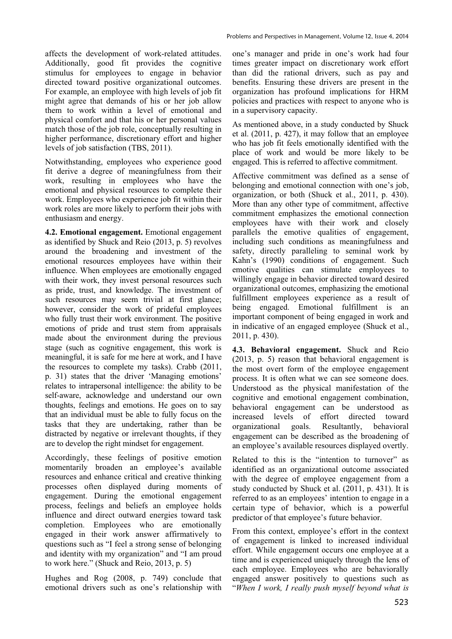affects the development of work-related attitudes. Additionally, good fit provides the cognitive stimulus for employees to engage in behavior directed toward positive organizational outcomes. For example, an employee with high levels of job fit might agree that demands of his or her job allow them to work within a level of emotional and physical comfort and that his or her personal values match those of the job role, conceptually resulting in higher performance, discretionary effort and higher levels of job satisfaction (TBS, 2011).

Notwithstanding, employees who experience good fit derive a degree of meaningfulness from their work, resulting in employees who have the emotional and physical resources to complete their work. Employees who experience job fit within their work roles are more likely to perform their jobs with enthusiasm and energy.

**4.2. Emotional engagement.** Emotional engagement as identified by Shuck and Reio (2013, p. 5) revolves around the broadening and investment of the emotional resources employees have within their influence. When employees are emotionally engaged with their work, they invest personal resources such as pride, trust, and knowledge. The investment of such resources may seem trivial at first glance; however, consider the work of prideful employees who fully trust their work environment. The positive emotions of pride and trust stem from appraisals made about the environment during the previous stage (such as cognitive engagement, this work is meaningful, it is safe for me here at work, and I have the resources to complete my tasks). Crabb (2011, p. 31) states that the driver 'Managing emotions' relates to intrapersonal intelligence: the ability to be self-aware, acknowledge and understand our own thoughts, feelings and emotions. He goes on to say that an individual must be able to fully focus on the tasks that they are undertaking, rather than be distracted by negative or irrelevant thoughts, if they are to develop the right mindset for engagement.

Accordingly, these feelings of positive emotion momentarily broaden an employee's available resources and enhance critical and creative thinking processes often displayed during moments of engagement. During the emotional engagement process, feelings and beliefs an employee holds influence and direct outward energies toward task completion. Employees who are emotionally engaged in their work answer affirmatively to questions such as "I feel a strong sense of belonging and identity with my organization" and "I am proud to work here." (Shuck and Reio, 2013, p. 5)

Hughes and Rog (2008, p. 749) conclude that emotional drivers such as one's relationship with

one's manager and pride in one's work had four times greater impact on discretionary work effort than did the rational drivers, such as pay and benefits. Ensuring these drivers are present in the organization has profound implications for HRM policies and practices with respect to anyone who is in a supervisory capacity.

As mentioned above, in a study conducted by Shuck et al. (2011, p. 427), it may follow that an employee who has job fit feels emotionally identified with the place of work and would be more likely to be engaged. This is referred to affective commitment.

Affective commitment was defined as a sense of belonging and emotional connection with one's job, organization, or both (Shuck et al., 2011, p. 430). More than any other type of commitment, affective commitment emphasizes the emotional connection employees have with their work and closely parallels the emotive qualities of engagement, including such conditions as meaningfulness and safety, directly paralleling to seminal work by Kahn's (1990) conditions of engagement. Such emotive qualities can stimulate employees to willingly engage in behavior directed toward desired organizational outcomes, emphasizing the emotional fulfillment employees experience as a result of being engaged. Emotional fulfillment is an important component of being engaged in work and in indicative of an engaged employee (Shuck et al., 2011, p. 430).

**4.3. Behavioral engagement.** Shuck and Reio (2013, p. 5) reason that behavioral engagement is the most overt form of the employee engagement process. It is often what we can see someone does. Understood as the physical manifestation of the cognitive and emotional engagement combination, behavioral engagement can be understood as increased levels of effort directed toward organizational goals. Resultantly, behavioral engagement can be described as the broadening of an employee's available resources displayed overtly.

Related to this is the "intention to turnover" as identified as an organizational outcome associated with the degree of employee engagement from a study conducted by Shuck et al. (2011, p. 431). It is referred to as an employees' intention to engage in a certain type of behavior, which is a powerful predictor of that employee's future behavior.

From this context, employee's effort in the context of engagement is linked to increased individual effort. While engagement occurs one employee at a time and is experienced uniquely through the lens of each employee. Employees who are behaviorally engaged answer positively to questions such as "*When I work, I really push myself beyond what is*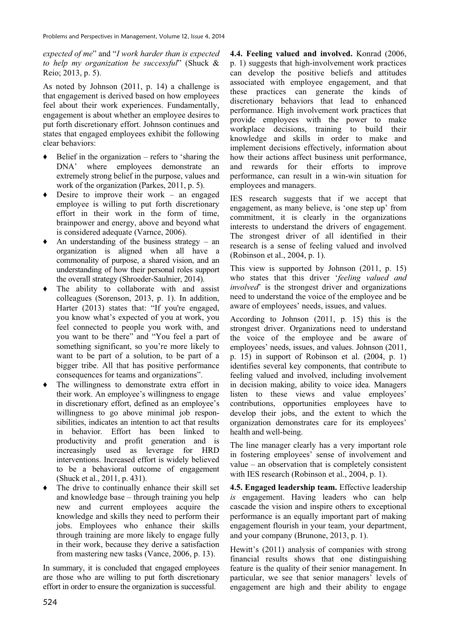*expected of me*" and "*I work harder than is expected to help my organization be successful*" (Shuck & Reio; 2013, p. 5).

As noted by Johnson (2011, p. 14) a challenge is that engagement is derived based on how employees feel about their work experiences. Fundamentally, engagement is about whether an employee desires to put forth discretionary effort. Johnson continues and states that engaged employees exhibit the following clear behaviors:

- Belief in the organization refers to 'sharing the DNA' where employees demonstrate an extremely strong belief in the purpose, values and work of the organization (Parkes, 2011, p. 5).
- Desire to improve their work an engaged employee is willing to put forth discretionary effort in their work in the form of time, brainpower and energy, above and beyond what is considered adequate (Varnce, 2006).
- An understanding of the business strategy an organization is aligned when all have a commonality of purpose, a shared vision, and an understanding of how their personal roles support the overall strategy (Shroeder-Saulnier, 2014).
- The ability to collaborate with and assist colleagues (Sorenson, 2013, p. 1). In addition, Harter (2013) states that: "If you're engaged, you know what's expected of you at work, you feel connected to people you work with, and you want to be there" and "You feel a part of something significant, so you're more likely to want to be part of a solution, to be part of a bigger tribe. All that has positive performance consequences for teams and organizations".
- Ƈ The willingness to demonstrate extra effort in their work. An employee's willingness to engage in discretionary effort, defined as an employee's willingness to go above minimal job responsibilities, indicates an intention to act that results in behavior. Effort has been linked to productivity and profit generation and is increasingly used as leverage for HRD interventions. Increased effort is widely believed to be a behavioral outcome of engagement (Shuck et al., 2011, p. 431).
- The drive to continually enhance their skill set and knowledge base – through training you help new and current employees acquire the knowledge and skills they need to perform their jobs. Employees who enhance their skills through training are more likely to engage fully in their work, because they derive a satisfaction from mastering new tasks (Vance, 2006, p. 13).

In summary, it is concluded that engaged employees are those who are willing to put forth discretionary effort in order to ensure the organization is successful.

**4.4. Feeling valued and involved.** Konrad (2006, p. 1) suggests that high-involvement work practices can develop the positive beliefs and attitudes associated with employee engagement, and that these practices can generate the kinds of discretionary behaviors that lead to enhanced performance. High involvement work practices that provide employees with the power to make workplace decisions, training to build their knowledge and skills in order to make and implement decisions effectively, information about how their actions affect business unit performance, and rewards for their efforts to improve performance, can result in a win-win situation for employees and managers.

IES research suggests that if we accept that engagement, as many believe, is 'one step up' from commitment, it is clearly in the organizations interests to understand the drivers of engagement. The strongest driver of all identified in their research is a sense of feeling valued and involved (Robinson et al., 2004, p. 1).

This view is supported by Johnson (2011, p. 15) who states that this driver '*feeling valued and involved*' is the strongest driver and organizations need to understand the voice of the employee and be aware of employees' needs, issues, and values.

According to Johnson (2011, p. 15) this is the strongest driver. Organizations need to understand the voice of the employee and be aware of employees' needs, issues, and values. Johnson (2011, p. 15) in support of Robinson et al. (2004, p. 1) identifies several key components, that contribute to feeling valued and involved, including involvement in decision making, ability to voice idea. Managers listen to these views and value employees' contributions, opportunities employees have to develop their jobs, and the extent to which the organization demonstrates care for its employees' health and well-being.

The line manager clearly has a very important role in fostering employees' sense of involvement and value – an observation that is completely consistent with IES research (Robinson et al., 2004, p. 1).

**4.5. Engaged leadership team.** Effective leadership *is* engagement. Having leaders who can help cascade the vision and inspire others to exceptional performance is an equally important part of making engagement flourish in your team, your department, and your company (Brunone, 2013, p. 1).

Hewitt's (2011) analysis of companies with strong financial results shows that one distinguishing feature is the quality of their senior management. In particular, we see that senior managers' levels of engagement are high and their ability to engage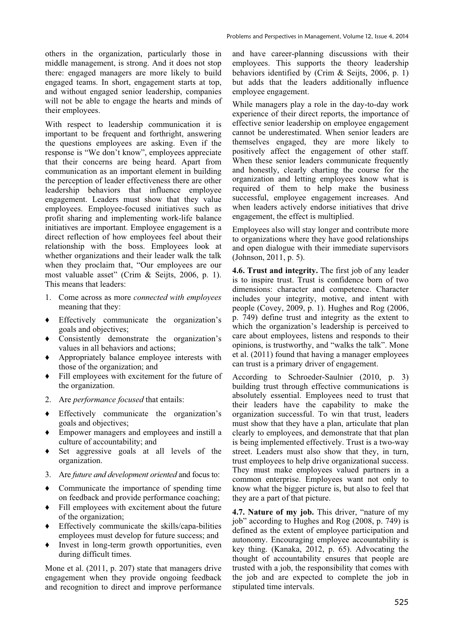others in the organization, particularly those in middle management, is strong. And it does not stop there: engaged managers are more likely to build engaged teams. In short, engagement starts at top, and without engaged senior leadership, companies will not be able to engage the hearts and minds of their employees.

With respect to leadership communication it is important to be frequent and forthright, answering the questions employees are asking. Even if the response is "We don't know", employees appreciate that their concerns are being heard. Apart from communication as an important element in building the perception of leader effectiveness there are other leadership behaviors that influence employee engagement. Leaders must show that they value employees. Employee-focused initiatives such as profit sharing and implementing work-life balance initiatives are important. Employee engagement is a direct reflection of how employees feel about their relationship with the boss. Employees look at whether organizations and their leader walk the talk when they proclaim that, "Our employees are our most valuable asset" (Crim & Seijts, 2006, p. 1). This means that leaders:

- 1. Come across as more *connected with employees* meaning that they:
- Ƈ Effectively communicate the organization's goals and objectives;
- Ƈ Consistently demonstrate the organization's values in all behaviors and actions;
- Ƈ Appropriately balance employee interests with those of the organization; and
- Ƈ Fill employees with excitement for the future of the organization.
- 2. Are *performance focused* that entails:
- Ƈ Effectively communicate the organization's goals and objectives;
- Ƈ Empower managers and employees and instill a culture of accountability; and
- Ƈ Set aggressive goals at all levels of the organization.
- 3. Are *future and development oriented* and focus to:
- Ƈ Communicate the importance of spending time on feedback and provide performance coaching;
- Ƈ Fill employees with excitement about the future of the organization;
- Ƈ Effectively communicate the skills/capa-bilities employees must develop for future success; and
- Ƈ Invest in long-term growth opportunities, even during difficult times.

Mone et al. (2011, p. 207) state that managers drive engagement when they provide ongoing feedback and recognition to direct and improve performance and have career-planning discussions with their employees. This supports the theory leadership behaviors identified by (Crim & Seijts, 2006, p. 1) but adds that the leaders additionally influence employee engagement.

While managers play a role in the day-to-day work experience of their direct reports, the importance of effective senior leadership on employee engagement cannot be underestimated. When senior leaders are themselves engaged, they are more likely to positively affect the engagement of other staff. When these senior leaders communicate frequently and honestly, clearly charting the course for the organization and letting employees know what is required of them to help make the business successful, employee engagement increases. And when leaders actively endorse initiatives that drive engagement, the effect is multiplied.

Employees also will stay longer and contribute more to organizations where they have good relationships and open dialogue with their immediate supervisors (Johnson, 2011, p. 5).

**4.6. Trust and integrity.** The first job of any leader is to inspire trust. Trust is confidence born of two dimensions: character and competence. Character includes your integrity, motive, and intent with people (Covey, 2009, p. 1). Hughes and Rog (2006, p. 749) define trust and integrity as the extent to which the organization's leadership is perceived to care about employees, listens and responds to their opinions, is trustworthy, and "walks the talk". Mone et al. (2011) found that having a manager employees can trust is a primary driver of engagement.

According to Schroeder-Saulnier (2010, p. 3) building trust through effective communications is absolutely essential. Employees need to trust that their leaders have the capability to make the organization successful. To win that trust, leaders must show that they have a plan, articulate that plan clearly to employees, and demonstrate that that plan is being implemented effectively. Trust is a two-way street. Leaders must also show that they, in turn, trust employees to help drive organizational success. They must make employees valued partners in a common enterprise. Employees want not only to know what the bigger picture is, but also to feel that they are a part of that picture.

**4.7. Nature of my job.** This driver, "nature of my job" according to Hughes and Rog (2008, p. 749) is defined as the extent of employee participation and autonomy. Encouraging employee accountability is key thing. (Kanaka, 2012, p. 65). Advocating the thought of accountability ensures that people are trusted with a job, the responsibility that comes with the job and are expected to complete the job in stipulated time intervals.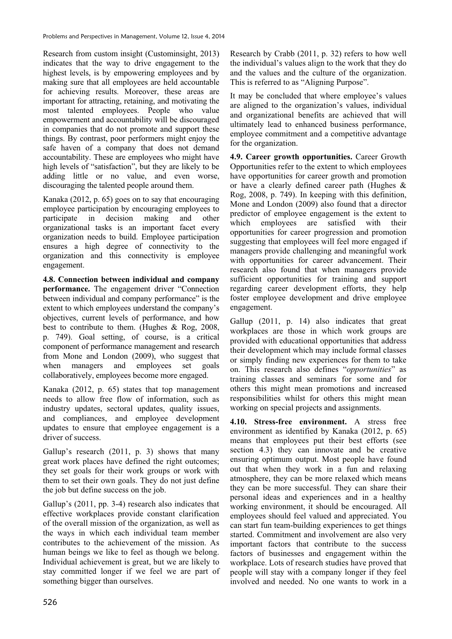Research from custom insight (Custominsight, 2013) indicates that the way to drive engagement to the highest levels, is by empowering employees and by making sure that all employees are held accountable for achieving results. Moreover, these areas are important for attracting, retaining, and motivating the most talented employees. People who value empowerment and accountability will be discouraged in companies that do not promote and support these things. By contrast, poor performers might enjoy the safe haven of a company that does not demand accountability. These are employees who might have high levels of "satisfaction", but they are likely to be adding little or no value, and even worse, discouraging the talented people around them.

Kanaka (2012, p. 65) goes on to say that encouraging employee participation by encouraging employees to<br>participate in decision making and other participate in decision making and other organizational tasks is an important facet every organization needs to build. Employee participation ensures a high degree of connectivity to the organization and this connectivity is employee engagement.

**4.8. Connection between individual and company performance.** The engagement driver "Connection between individual and company performance" is the extent to which employees understand the company's objectives, current levels of performance, and how best to contribute to them. (Hughes & Rog, 2008, p. 749). Goal setting, of course, is a critical component of performance management and research from Mone and London (2009), who suggest that when managers and employees set goals collaboratively, employees become more engaged.

Kanaka (2012, p. 65) states that top management needs to allow free flow of information, such as industry updates, sectoral updates, quality issues, and compliances, and employee development updates to ensure that employee engagement is a driver of success.

Gallup's research (2011, p. 3) shows that many great work places have defined the right outcomes; they set goals for their work groups or work with them to set their own goals. They do not just define the job but define success on the job.

Gallup's (2011, pp. 3-4) research also indicates that effective workplaces provide constant clarification of the overall mission of the organization, as well as the ways in which each individual team member contributes to the achievement of the mission. As human beings we like to feel as though we belong. Individual achievement is great, but we are likely to stay committed longer if we feel we are part of something bigger than ourselves.

Research by Crabb (2011, p. 32) refers to how well the individual's values align to the work that they do and the values and the culture of the organization. This is referred to as "Aligning Purpose".

It may be concluded that where employee's values are aligned to the organization's values, individual and organizational benefits are achieved that will ultimately lead to enhanced business performance, employee commitment and a competitive advantage for the organization.

**4.9. Career growth opportunities.** Career Growth Opportunities refer to the extent to which employees have opportunities for career growth and promotion or have a clearly defined career path (Hughes & Rog, 2008, p. 749). In keeping with this definition, Mone and London (2009) also found that a director predictor of employee engagement is the extent to<br>which employees are satisfied with their which employees are satisfied with their opportunities for career progression and promotion suggesting that employees will feel more engaged if managers provide challenging and meaningful work with opportunities for career advancement. Their research also found that when managers provide sufficient opportunities for training and support regarding career development efforts, they help foster employee development and drive employee engagement.

Gallup (2011, p. 14) also indicates that great workplaces are those in which work groups are provided with educational opportunities that address their development which may include formal classes or simply finding new experiences for them to take on. This research also defines "*opportunities*" as training classes and seminars for some and for others this might mean promotions and increased responsibilities whilst for others this might mean working on special projects and assignments.

**4.10. Stress-free environment.** A stress free environment as identified by Kanaka (2012, p. 65) means that employees put their best efforts (see section 4.3) they can innovate and be creative ensuring optimum output. Most people have found out that when they work in a fun and relaxing atmosphere, they can be more relaxed which means they can be more successful. They can share their personal ideas and experiences and in a healthy working environment, it should be encouraged. All employees should feel valued and appreciated. You can start fun team-building experiences to get things started. Commitment and involvement are also very important factors that contribute to the success factors of businesses and engagement within the workplace. Lots of research studies have proved that people will stay with a company longer if they feel involved and needed. No one wants to work in a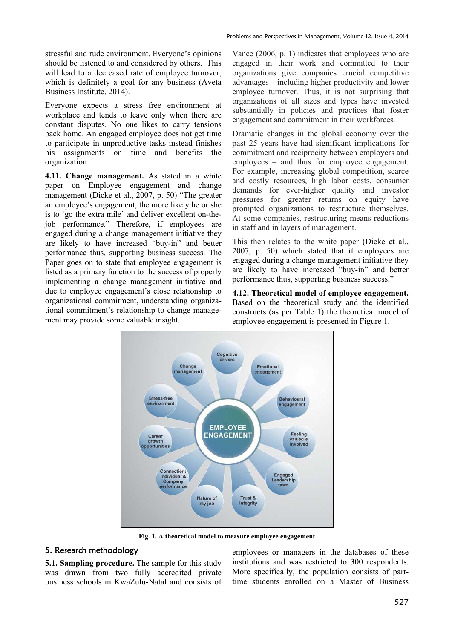stressful and rude environment. Everyone's opinions should be listened to and considered by others. This will lead to a decreased rate of employee turnover, which is definitely a goal for any business (Aveta Business Institute, 2014).

Everyone expects a stress free environment at workplace and tends to leave only when there are constant disputes. No one likes to carry tensions back home. An engaged employee does not get time to participate in unproductive tasks instead finishes his assignments on time and benefits the organization.

**4.11. Change management.** As stated in a white paper on Employee engagement and change management (Dicke et al., 2007, p. 50) "The greater an employee's engagement, the more likely he or she is to 'go the extra mile' and deliver excellent on-thejob performance." Therefore, if employees are engaged during a change management initiative they are likely to have increased "buy-in" and better performance thus, supporting business success. The Paper goes on to state that employee engagement is listed as a primary function to the success of properly implementing a change management initiative and due to employee engagement's close relationship to organizational commitment, understanding organizational commitment's relationship to change management may provide some valuable insight.

Vance (2006, p. 1) indicates that employees who are engaged in their work and committed to their organizations give companies crucial competitive advantages – including higher productivity and lower employee turnover. Thus, it is not surprising that organizations of all sizes and types have invested substantially in policies and practices that foster engagement and commitment in their workforces.

Dramatic changes in the global economy over the past 25 years have had significant implications for commitment and reciprocity between employers and employees – and thus for employee engagement. For example, increasing global competition, scarce and costly resources, high labor costs, consumer demands for ever-higher quality and investor pressures for greater returns on equity have prompted organizations to restructure themselves. At some companies, restructuring means reductions in staff and in layers of management.

This then relates to the white paper (Dicke et al., 2007, p. 50) which stated that if employees are engaged during a change management initiative they are likely to have increased "buy-in" and better performance thus, supporting business success."

**4.12. Theoretical model of employee engagement.**  Based on the theoretical study and the identified constructs (as per Table 1) the theoretical model of employee engagement is presented in Figure 1.



**Fig. 1. A theoretical model to measure employee engagement** 

### 5. Research methodology

**5.1. Sampling procedure.** The sample for this study was drawn from two fully accredited private business schools in KwaZulu-Natal and consists of employees or managers in the databases of these institutions and was restricted to 300 respondents. More specifically, the population consists of parttime students enrolled on a Master of Business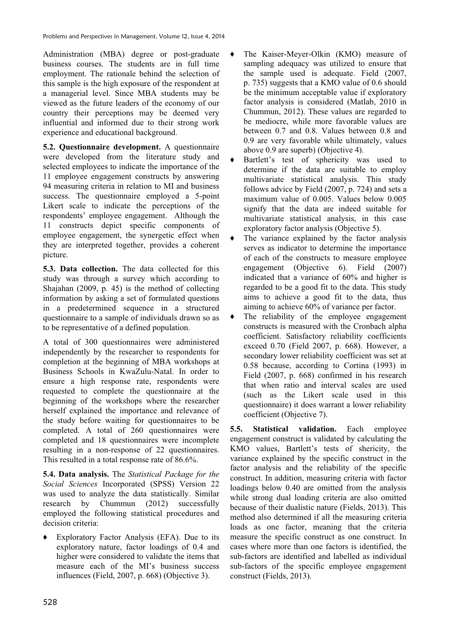Administration (MBA) degree or post-graduate business courses. The students are in full time employment. The rationale behind the selection of this sample is the high exposure of the respondent at a managerial level. Since MBA students may be viewed as the future leaders of the economy of our country their perceptions may be deemed very influential and informed due to their strong work experience and educational background.

**5.2. Questionnaire development.** A questionnaire were developed from the literature study and selected employees to indicate the importance of the 11 employee engagement constructs by answering 94 measuring criteria in relation to MI and business success. The questionnaire employed a 5-point Likert scale to indicate the perceptions of the respondents' employee engagement. Although the 11 constructs depict specific components of employee engagement, the synergetic effect when they are interpreted together, provides a coherent picture.

**5.3. Data collection.** The data collected for this study was through a survey which according to Shajahan (2009, p. 45) is the method of collecting information by asking a set of formulated questions in a predetermined sequence in a structured questionnaire to a sample of individuals drawn so as to be representative of a defined population.

A total of 300 questionnaires were administered independently by the researcher to respondents for completion at the beginning of MBA workshops at Business Schools in KwaZulu-Natal. In order to ensure a high response rate, respondents were requested to complete the questionnaire at the beginning of the workshops where the researcher herself explained the importance and relevance of the study before waiting for questionnaires to be completed. A total of 260 questionnaires were completed and 18 questionnaires were incomplete resulting in a non-response of 22 questionnaires. This resulted in a total response rate of 86.6%.

**5.4. Data analysis.** The *Statistical Package for the Social Sciences* Incorporated (SPSS) Version 22 was used to analyze the data statistically. Similar research by Chummun (2012) successfully employed the following statistical procedures and decision criteria:

Ƈ Exploratory Factor Analysis (EFA). Due to its exploratory nature, factor loadings of 0.4 and higher were considered to validate the items that measure each of the MI's business success influences (Field, 2007, p. 668) (Objective 3).

Ƈ The Kaiser-Meyer-Olkin (KMO) measure of sampling adequacy was utilized to ensure that the sample used is adequate. Field (2007, p. 735) suggests that a KMO value of 0.6 should be the minimum acceptable value if exploratory factor analysis is considered (Matlab, 2010 in Chummun, 2012). These values are regarded to be mediocre, while more favorable values are between 0.7 and 0.8. Values between 0.8 and 0.9 are very favorable while ultimately, values above 0.9 are superb) (Objective 4).

Bartlett's test of sphericity was used to determine if the data are suitable to employ multivariate statistical analysis. This study follows advice by Field (2007, p. 724) and sets a maximum value of 0.005. Values below 0.005 signify that the data are indeed suitable for multivariate statistical analysis, in this case exploratory factor analysis (Objective 5).

- The variance explained by the factor analysis serves as indicator to determine the importance of each of the constructs to measure employee engagement (Objective 6). Field (2007) indicated that a variance of 60% and higher is regarded to be a good fit to the data. This study aims to achieve a good fit to the data, thus aiming to achieve 60% of variance per factor.
- The reliability of the employee engagement constructs is measured with the Cronbach alpha coefficient. Satisfactory reliability coefficients exceed 0.70 (Field 2007, p. 668). However, a secondary lower reliability coefficient was set at 0.58 because, according to Cortina (1993) in Field (2007, p. 668) confirmed in his research that when ratio and interval scales are used (such as the Likert scale used in this questionnaire) it does warrant a lower reliability coefficient (Objective 7).

**5.5. Statistical validation.** Each employee engagement construct is validated by calculating the KMO values, Bartlett's tests of shericity, the variance explained by the specific construct in the factor analysis and the reliability of the specific construct. In addition, measuring criteria with factor loadings below 0.40 are omitted from the analysis while strong dual loading criteria are also omitted because of their dualistic nature (Fields, 2013). This method also determined if all the measuring criteria loads as one factor, meaning that the criteria measure the specific construct as one construct. In cases where more than one factors is identified, the sub-factors are identified and labelled as individual sub-factors of the specific employee engagement construct (Fields, 2013).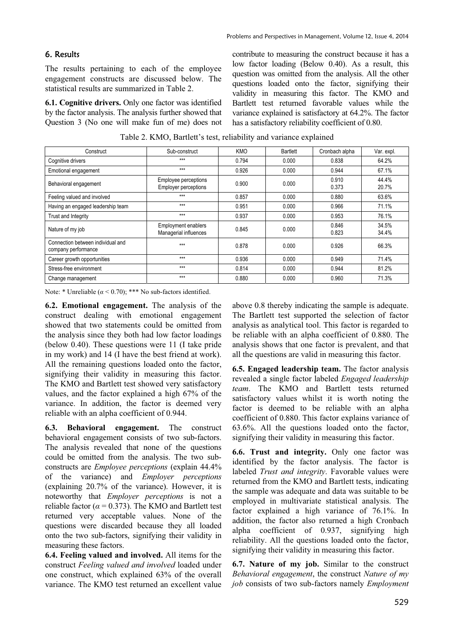# 6. Results

The results pertaining to each of the employee engagement constructs are discussed below. The statistical results are summarized in Table 2.

**6.1. Cognitive drivers.** Only one factor was identified by the factor analysis. The analysis further showed that Question 3 (No one will make fun of me) does not contribute to measuring the construct because it has a low factor loading (Below 0.40). As a result, this question was omitted from the analysis. All the other questions loaded onto the factor, signifying their validity in measuring this factor. The KMO and Bartlett test returned favorable values while the variance explained is satisfactory at 64.2%. The factor has a satisfactory reliability coefficient of 0.80.

Table 2. KMO, Bartlett's test, reliability and variance explained

| Construct                                                |                                                     | KMO   | <b>Bartlett</b> |                |                |
|----------------------------------------------------------|-----------------------------------------------------|-------|-----------------|----------------|----------------|
|                                                          | Sub-construct                                       |       |                 | Cronbach alpha | Var. expl.     |
| Cognitive drivers                                        | $***$                                               | 0.794 | 0.000           | 0.838          | 64.2%          |
| Emotional engagement                                     | $***$                                               | 0.926 | 0.000           | 0.944          | 67.1%          |
| Behavioral engagement                                    | Employee perceptions<br><b>Employer perceptions</b> | 0.900 | 0.000           | 0.910<br>0.373 | 44.4%<br>20.7% |
| Feeling valued and involved                              | $***$                                               | 0.857 | 0.000           | 0.880          | 63.6%          |
| Having an engaged leadership team                        | $***$                                               | 0.951 | 0.000           | 0.966          | 71.1%          |
| Trust and Integrity                                      | $***$                                               | 0.937 | 0.000           | 0.953          | 76.1%          |
| Nature of my job                                         | <b>Employment enablers</b><br>Managerial influences | 0.845 | 0.000           | 0.846<br>0.823 | 34.5%<br>34.4% |
| Connection between individual and<br>company performance | $***$                                               | 0.878 | 0.000           | 0.926          | 66.3%          |
| Career growth opportunities                              | $***$                                               | 0.936 | 0.000           | 0.949          | 71.4%          |
| Stress-free environment                                  | $***$                                               | 0.814 | 0.000           | 0.944          | 81.2%          |
| Change management                                        | $***$                                               | 0.880 | 0.000           | 0.960          | 71.3%          |

Note: \* Unreliable  $(a < 0.70)$ ; \*\*\* No sub-factors identified.

**6.2. Emotional engagement.** The analysis of the construct dealing with emotional engagement showed that two statements could be omitted from the analysis since they both had low factor loadings (below 0.40). These questions were 11 (I take pride in my work) and 14 (I have the best friend at work). All the remaining questions loaded onto the factor, signifying their validity in measuring this factor. The KMO and Bartlett test showed very satisfactory values, and the factor explained a high 67% of the variance. In addition, the factor is deemed very reliable with an alpha coefficient of 0.944.

**6.3. Behavioral engagement.** The construct behavioral engagement consists of two sub-factors. The analysis revealed that none of the questions could be omitted from the analysis. The two subconstructs are *Employee perceptions* (explain 44.4% of the variance) and *Employer perceptions* (explaining 20.7% of the variance). However, it is noteworthy that *Employer perceptions* is not a reliable factor ( $\alpha$  = 0.373). The KMO and Bartlett test returned very acceptable values. None of the questions were discarded because they all loaded onto the two sub-factors, signifying their validity in measuring these factors.

**6.4. Feeling valued and involved.** All items for the construct *Feeling valued and involved* loaded under one construct, which explained 63% of the overall variance. The KMO test returned an excellent value

above 0.8 thereby indicating the sample is adequate. The Bartlett test supported the selection of factor analysis as analytical tool. This factor is regarded to be reliable with an alpha coefficient of 0.880. The analysis shows that one factor is prevalent, and that all the questions are valid in measuring this factor.

**6.5. Engaged leadership team.** The factor analysis revealed a single factor labeled *Engaged leadership team*. The KMO and Bartlett tests returned satisfactory values whilst it is worth noting the factor is deemed to be reliable with an alpha coefficient of 0.880. This factor explains variance of 63.6%. All the questions loaded onto the factor, signifying their validity in measuring this factor.

**6.6. Trust and integrity.** Only one factor was identified by the factor analysis. The factor is labeled *Trust and integrity*. Favorable values were returned from the KMO and Bartlett tests, indicating the sample was adequate and data was suitable to be employed in multivariate statistical analysis. The factor explained a high variance of 76.1%. In addition, the factor also returned a high Cronbach alpha coefficient of 0.937, signifying high reliability. All the questions loaded onto the factor, signifying their validity in measuring this factor.

**6.7. Nature of my job.** Similar to the construct *Behavioral engagement*, the construct *Nature of my job* consists of two sub-factors namely *Employment*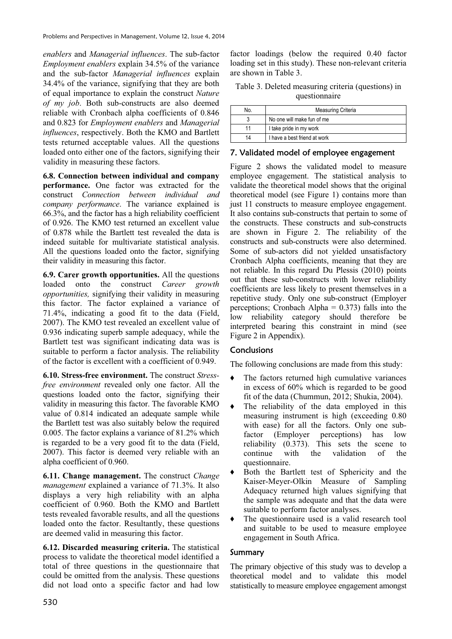*enablers* and *Managerial influences*. The sub-factor *Employment enablers* explain 34.5% of the variance and the sub-factor *Managerial influences* explain 34.4% of the variance, signifying that they are both of equal importance to explain the construct *Nature of my job*. Both sub-constructs are also deemed reliable with Cronbach alpha coefficients of 0.846 and 0.823 for *Employment enablers* and *Managerial influences*, respectively. Both the KMO and Bartlett tests returned acceptable values. All the questions loaded onto either one of the factors, signifying their validity in measuring these factors.

**6.8. Connection between individual and company performance.** One factor was extracted for the construct *Connection between individual and company performance*. The variance explained is 66.3%, and the factor has a high reliability coefficient of 0.926. The KMO test returned an excellent value of 0.878 while the Bartlett test revealed the data is indeed suitable for multivariate statistical analysis. All the questions loaded onto the factor, signifying their validity in measuring this factor.

**6.9. Carer growth opportunities.** All the questions loaded onto the construct *Career growth opportunities,* signifying their validity in measuring this factor. The factor explained a variance of 71.4%, indicating a good fit to the data (Field, 2007). The KMO test revealed an excellent value of 0.936 indicating superb sample adequacy, while the Bartlett test was significant indicating data was is suitable to perform a factor analysis. The reliability of the factor is excellent with a coefficient of 0.949.

**6.10. Stress-free environment.** The construct *Stressfree environment* revealed only one factor. All the questions loaded onto the factor, signifying their validity in measuring this factor. The favorable KMO value of 0.814 indicated an adequate sample while the Bartlett test was also suitably below the required 0.005. The factor explains a variance of 81.2% which is regarded to be a very good fit to the data (Field, 2007). This factor is deemed very reliable with an alpha coefficient of 0.960.

**6.11. Change management.** The construct *Change management* explained a variance of 71.3%. It also displays a very high reliability with an alpha coefficient of 0.960. Both the KMO and Bartlett tests revealed favorable results, and all the questions loaded onto the factor. Resultantly, these questions are deemed valid in measuring this factor.

**6.12. Discarded measuring criteria.** The statistical process to validate the theoretical model identified a total of three questions in the questionnaire that could be omitted from the analysis. These questions did not load onto a specific factor and had low

factor loadings (below the required 0.40 factor loading set in this study). These non-relevant criteria are shown in Table 3.

| Table 3. Deleted measuring criteria (questions) in |
|----------------------------------------------------|
| questionnaire                                      |

| No. | Measuring Criteria           |  |
|-----|------------------------------|--|
|     | No one will make fun of me   |  |
| 11  | I take pride in my work      |  |
| 14  | I have a best friend at work |  |

## 7. Validated model of employee engagement

Figure 2 shows the validated model to measure employee engagement. The statistical analysis to validate the theoretical model shows that the original theoretical model (see Figure 1) contains more than just 11 constructs to measure employee engagement. It also contains sub-constructs that pertain to some of the constructs. These constructs and sub-constructs are shown in Figure 2. The reliability of the constructs and sub-constructs were also determined. Some of sub-actors did not yielded unsatisfactory Cronbach Alpha coefficients, meaning that they are not reliable. In this regard Du Plessis (2010) points out that these sub-constructs with lower reliability coefficients are less likely to present themselves in a repetitive study. Only one sub-construct (Employer perceptions; Cronbach Alpha  $= 0.373$ ) falls into the low reliability category should therefore be interpreted bearing this constraint in mind (see Figure 2 in Appendix).

## **Conclusions**

The following conclusions are made from this study:

- Ƈ The factors returned high cumulative variances in excess of 60% which is regarded to be good fit of the data (Chummun, 2012; Shukia, 2004).
- Ƈ The reliability of the data employed in this measuring instrument is high (exceeding 0.80 with ease) for all the factors. Only one subfactor (Employer perceptions) has low reliability (0.373). This sets the scene to continue with the validation of the questionnaire.
- Ƈ Both the Bartlett test of Sphericity and the Kaiser-Meyer-Olkin Measure of Sampling Adequacy returned high values signifying that the sample was adequate and that the data were suitable to perform factor analyses.
- The questionnaire used is a valid research tool and suitable to be used to measure employee engagement in South Africa.

### Summary

The primary objective of this study was to develop a theoretical model and to validate this model statistically to measure employee engagement amongst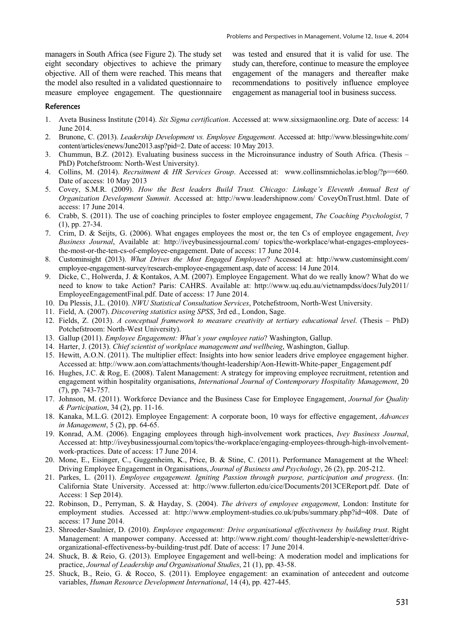managers in South Africa (see Figure 2). The study set eight secondary objectives to achieve the primary objective. All of them were reached. This means that the model also resulted in a validated questionnaire to measure employee engagement. The questionnaire was tested and ensured that it is valid for use. The study can, therefore, continue to measure the employee engagement of the managers and thereafter make recommendations to positively influence employee engagement as managerial tool in business success.

#### References

- 1. Aveta Business Institute (2014). *Six Sigma certification*. Accessed at: www.sixsigmaonline.org. Date of access: 14 June 2014.
- 2. Brunone, C. (2013). *Leadership Development vs. Employee Engagement*. Accessed at: http://www.blessingwhite.com/ content/articles/enews/June2013.asp?pid=2. Date of access: 10 May 2013.
- 3. Chummun, B.Z. (2012). Evaluating business success in the Microinsurance industry of South Africa. (Thesis PhD) Potchefstroom: North-West University).
- 4. Collins, M. (2014). *Recruitment & HR Services Group*. Accessed at: www.collinsmnicholas.ie/blog/?p==660. Date of access: 10 May 2013
- 5. Covey, S.M.R. (2009). *How the Best leaders Build Trust. Chicago: Linkage's Eleventh Annual Best of Organization Development Summit*. Accessed at: http://www.leadershipnow.com/ CoveyOnTrust.html. Date of access: 17 June 2014.
- 6. Crabb, S. (2011). The use of coaching principles to foster employee engagement, *The Coaching Psychologist*, 7 (1), pp. 27-34.
- 7. Crim, D. & Seijts, G. (2006). What engages employees the most or, the ten Cs of employee engagement, *Ivey Business Journal*, Available at: http://iveybusinessjournal.com/ topics/the-workplace/what-engages-employeesthe-most-or-the-ten-cs-of-employee-engagement. Date of access: 17 June 2014.
- 8. Custominsight (2013). *What Drives the Most Engaged Employees*? Accessed at: http://www.custominsight.com/ employee-engagement-survey/research-employee-engagement.asp, date of access: 14 June 2014.
- 9. Dicke, C., Holwerda, J. & Kontakos, A.M. (2007). Employee Engagement. What do we really know? What do we need to know to take Action? Paris: CAHRS. Available at: http://www.uq.edu.au/vietnampdss/docs/July2011/ EmployeeEngagementFinal.pdf. Date of access: 17 June 2014.
- 10. Du Plessis, J.L. (2010). *NWU Statistical Consultation Services*, Potchefstroom, North-West University.
- 11. Field, A. (2007). *Discovering statistics using SPSS*, 3rd ed., London, Sage.
- 12. Fields, Z. (2013). *A conceptual framework to measure creativity at tertiary educational level*. (Thesis PhD) Potchefstroom: North-West University).
- 13. Gallup (2011). *Employee Engagement: What's your employee ratio*? Washington, Gallup.
- 14. Harter, J. (2013). *Chief scientist of workplace management and wellbeing*, Washington, Gallup.
- 15. Hewitt, A.O.N. (2011). The multiplier effect: Insights into how senior leaders drive employee engagement higher. Accessed at: http://www.aon.com/attachments/thought-leadership/Aon-Hewitt-White-paper\_Engagement.pdf
- 16. Hughes, J.C. & Rog, E. (2008). Talent Management: A strategy for improving employee recruitment, retention and engagement within hospitality organisations, *International Journal of Contemporary Hospitality Management*, 20 (7), pp. 743-757.
- 17. Johnson, M. (2011). Workforce Deviance and the Business Case for Employee Engagement, *Journal for Quality & Participation*, 34 (2), pp. 11-16.
- 18. Kanaka, M.L.G. (2012). Employee Engagement: A corporate boon, 10 ways for effective engagement, *Advances in Management*, 5 (2), pp. 64-65.
- 19. Konrad, A.M. (2006). Engaging employees through high-involvement work practices, *Ivey Business Journal*, Accessed at: http://iveybusinessjournal.com/topics/the-workplace/engaging-employees-through-high-involvementwork-practices. Date of access: 17 June 2014.
- 20. Mone, E., Eisinger, C., Guggenheim, K., Price, B. & Stine, C. (2011). Performance Management at the Wheel: Driving Employee Engagement in Organisations, *Journal of Business and Psychology*, 26 (2), pp. 205-212.
- 21. Parkes, L. (2011). *Employee engagement. Igniting Passion through purpose, participation and progress*. (In: California State University. Accessed at: http://www.fullerton.edu/cice/Documents/2013CEReport.pdf. Date of Access: 1 Sep 2014).
- 22. Robinson, D., Perryman, S. & Hayday, S. (2004). *The drivers of employee engagement*, London: Institute for employment studies. Accessed at: http://www.employment-studies.co.uk/pubs/summary.php?id=408. Date of access: 17 June 2014.
- 23. Shroeder-Saulnier, D. (2010). *Employee engagement: Drive organisational effectiveness by building trust*. Right Management: A manpower company. Accessed at: http://www.right.com/ thought-leadership/e-newsletter/driveorganizational-effectiveness-by-building-trust.pdf. Date of access: 17 June 2014.
- 24. Shuck, B. & Reio, G. (2013). Employee Engagement and well-being: A moderation model and implications for practice, *Journal of Leadership and Organisational Studies*, 21 (1), pp. 43-58.
- 25. Shuck, B., Reio, G. & Rocco, S. (2011). Employee engagement: an examination of antecedent and outcome variables, *Human Resource Development International*, 14 (4), pp. 427-445.